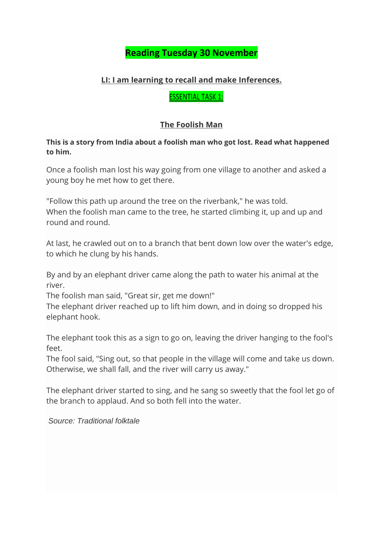# **Reading Tuesday 30 November**

#### **LI: I am learning to recall and make Inferences.**

ESSENTIAL TASK 1:

#### **The Foolish Man**

**This is a story from India about a foolish man who got lost. Read what happened to him.**

Once a foolish man lost his way going from one village to another and asked a young boy he met how to get there.

"Follow this path up around the tree on the riverbank," he was told. When the foolish man came to the tree, he started climbing it, up and up and round and round.

At last, he crawled out on to a branch that bent down low over the water's edge, to which he clung by his hands.

By and by an elephant driver came along the path to water his animal at the river.

The foolish man said, "Great sir, get me down!"

The elephant driver reached up to lift him down, and in doing so dropped his elephant hook.

The elephant took this as a sign to go on, leaving the driver hanging to the fool's feet.

The fool said, "Sing out, so that people in the village will come and take us down. Otherwise, we shall fall, and the river will carry us away."

The elephant driver started to sing, and he sang so sweetly that the fool let go of the branch to applaud. And so both fell into the water.

*Source: Traditional folktale*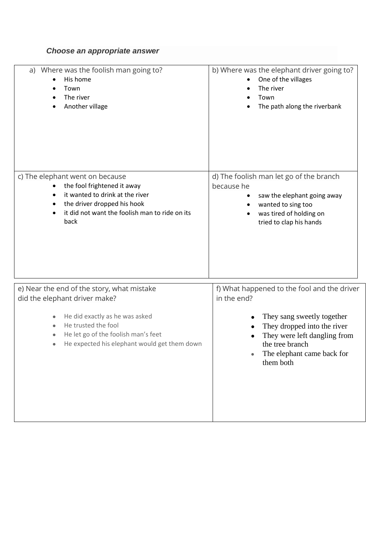## *Choose an appropriate answer*

| a) Where was the foolish man going to?                                                                                                                                                                                      | b) Where was the elephant driver going to?                                                                                                                                                                            |
|-----------------------------------------------------------------------------------------------------------------------------------------------------------------------------------------------------------------------------|-----------------------------------------------------------------------------------------------------------------------------------------------------------------------------------------------------------------------|
| His home                                                                                                                                                                                                                    | One of the villages                                                                                                                                                                                                   |
| Town                                                                                                                                                                                                                        | The river                                                                                                                                                                                                             |
| The river                                                                                                                                                                                                                   | Town                                                                                                                                                                                                                  |
| Another village                                                                                                                                                                                                             | The path along the riverbank                                                                                                                                                                                          |
| c) The elephant went on because                                                                                                                                                                                             | d) The foolish man let go of the branch                                                                                                                                                                               |
| the fool frightened it away                                                                                                                                                                                                 | because he                                                                                                                                                                                                            |
| it wanted to drink at the river                                                                                                                                                                                             | saw the elephant going away                                                                                                                                                                                           |
| the driver dropped his hook                                                                                                                                                                                                 | wanted to sing too                                                                                                                                                                                                    |
| it did not want the foolish man to ride on its                                                                                                                                                                              | was tired of holding on                                                                                                                                                                                               |
| back                                                                                                                                                                                                                        | tried to clap his hands                                                                                                                                                                                               |
| e) Near the end of the story, what mistake<br>did the elephant driver make?<br>He did exactly as he was asked<br>He trusted the fool<br>He let go of the foolish man's feet<br>He expected his elephant would get them down | f) What happened to the fool and the driver<br>in the end?<br>They sang sweetly together<br>They dropped into the river<br>They were left dangling from<br>the tree branch<br>The elephant came back for<br>them both |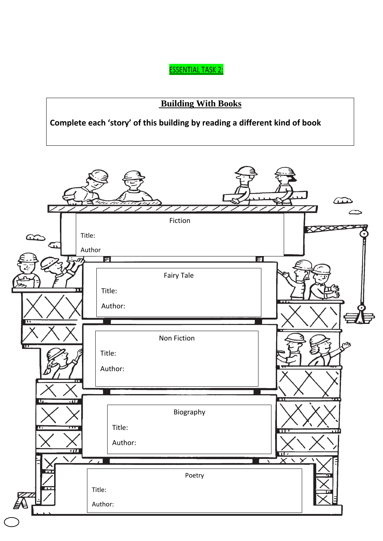ESSENTIAL TASK 2:

# **Building With Books**

**Complete each 'story' of this building by reading a different kind of book**